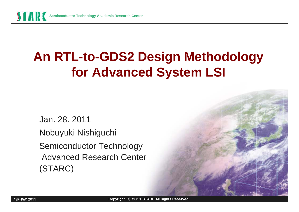

# **An RTL-to-GDS2 Design Methodology An RTL-to-GDS2 Design Methodology for Advanced System LSI for Advanced System LSI**

Jan. 28. 2011 Nobuyuki Nishiguchi Nobuyuki Nishiguchi Semiconductor Technology Semiconductor Technology Advanced Research Center Advanced Research Center (STARC) (STARC)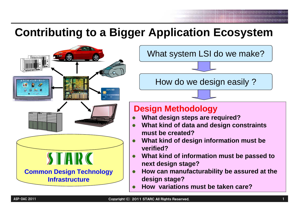### **Contributing to a Bigger Application Ecosystem**



What system LSI do we make?

How do we design easily ?

#### **Design Methodology**

- $\bullet$ **What design steps are required?**
- $\bullet$  **What kind of data and design constraints must be created?**
- $\bullet$  **What kind of design information must be verified?**
- $\bullet$  **What kind of information must be passed to next design stage?**
- $\bullet$  **How can manufacturability be assured at the design stage?**
- $\bullet$ **How variations must be taken care?**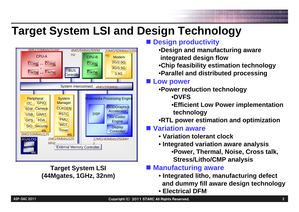#### **Target System LSI and Design Technology**



**Target System LSI (44Mgates, 1GHz, 32nm)**

#### **Design productivity**

- •**Design and manufacturing aware integrated design flow**
- •**Chip feasibility estimation technology**
- •**Parallel and distributed processing**

#### ■ Low power

- •**Power reduction technology** •**DVFS**
	- •**Efficient Low Power implementation technology**
- •**RTL power estimation and optimization**
- **Variation aware**
	- **Variation tolerant clock**
	- **Integrated variation aware analysis** •**Power, Thermal, Noise, Cross talk, Stress/Litho/CMP analysis**

#### **Manufacturing aware**

- **Integrated litho, manufacturing defect and dummy fill aware design technology**
- **Electrical DFM**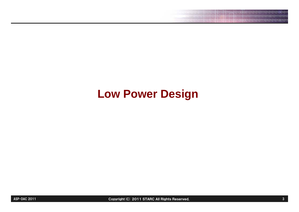01010100101 19898818 100101

#### **Low Power Design**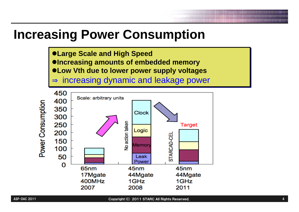# **Increasing Power Consumption**

<sup>z</sup>**Large Scale and High Speed** <sup>z</sup>**Large Scale and High Speed** <sup>z</sup>**Increasing amounts of embedded memory** <sup>z</sup>**Increasing amounts of embedded memory** <sup>z</sup>**Low Vth due to lower power supply voltages** z**Low Vth due to lower power supply voltages**

⇒⇒ $\Rightarrow$  increasing dynamic and leakage power

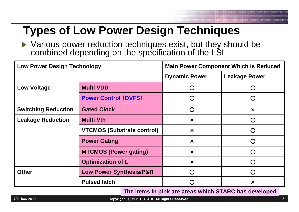## **Types of Low Power Design Techniques**

 $\blacktriangleright$  Various power reduction techniques exist, but they should be combined depending on the specification of the LSI

| <b>Low Power Design Technology</b> |                                    | <b>Main Power Component Which is Reduced</b> |                                                  |  |  |
|------------------------------------|------------------------------------|----------------------------------------------|--------------------------------------------------|--|--|
|                                    |                                    | <b>Dynamic Power</b>                         | <b>Leakage Power</b>                             |  |  |
| <b>Low Voltage</b>                 | <b>Multi VDD</b>                   |                                              | 0                                                |  |  |
|                                    | <b>Power Control (DVFS)</b>        |                                              | ( )                                              |  |  |
| <b>Switching Reduction</b>         | <b>Gated Clock</b>                 |                                              | $\boldsymbol{\mathsf{x}}$                        |  |  |
| <b>Leakage Reduction</b>           | <b>Multi Vth</b>                   | $\boldsymbol{\times}$                        | ( )                                              |  |  |
|                                    | <b>VTCMOS (Substrate control)</b>  | $\boldsymbol{\times}$                        | ( )                                              |  |  |
|                                    | <b>Power Gating</b>                | $\boldsymbol{\times}$                        | $\bigcap$                                        |  |  |
|                                    | <b>MTCMOS (Power gating)</b>       | $\boldsymbol{\mathsf{x}}$                    | $\left(\begin{matrix} \ \ \ \end{matrix}\right)$ |  |  |
|                                    | <b>Optimization of L</b>           | $\boldsymbol{\times}$                        | $\bigcap$                                        |  |  |
| <b>Other</b>                       | <b>Low Power Synthesis/P&amp;R</b> |                                              | ( )                                              |  |  |
|                                    | <b>Pulsed latch</b>                |                                              | $\boldsymbol{\mathsf{x}}$                        |  |  |

#### **The items in pink are areas which STARC has developed**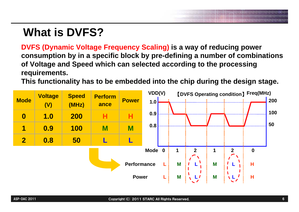# **What is DVFS?**

**DVFS (Dynamic Voltage Frequency Scaling) is a way of reducing power consumption by in a specific block by pre-defining a number of combinations of Voltage and Speed which can selected according to the processing requirements.** 

**This functionality has to be embedded into the chip during the design stage.** 

| <b>Mode</b>             | <b>Voltage</b><br>(V) | <b>Speed</b><br>(MHz) | <b>Perform</b><br>ance | <b>Power</b>       | VDD(V)<br>1.0 |   |              |   | <b>[DVFS Operating condition] Freq(MHz)</b> | 200 |
|-------------------------|-----------------------|-----------------------|------------------------|--------------------|---------------|---|--------------|---|---------------------------------------------|-----|
| $\boldsymbol{0}$        | 1.0                   | <b>200</b>            | н                      |                    | 0.9           |   |              |   |                                             | 100 |
| 1                       | 0.9                   | <b>100</b>            | M                      | M                  | 0.8           |   |              |   |                                             | 50  |
| $\overline{\mathbf{2}}$ | 0.8                   | 50                    |                        |                    |               |   |              |   |                                             |     |
|                         |                       |                       |                        |                    | Mode 0        | 1 | $\mathbf{2}$ |   | $\mathbf 0$                                 |     |
|                         |                       |                       |                        | <b>Performance</b> |               | M |              | M | Н                                           |     |
|                         |                       |                       |                        | <b>Power</b>       |               | M | l 1          | M | н                                           |     |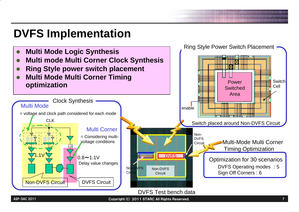## **DVFS Implementation**

ASP-DAC 2011

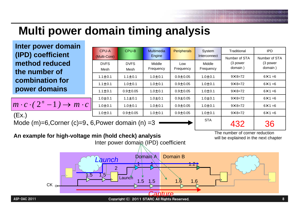# **Multi power domain timing analysis**

| Inter power domain                                                                                                                                                       |               |              |                                               |                    |              |                   |                  |  |  |
|--------------------------------------------------------------------------------------------------------------------------------------------------------------------------|---------------|--------------|-----------------------------------------------|--------------------|--------------|-------------------|------------------|--|--|
|                                                                                                                                                                          | <b>CPU-A</b>  | CPU-B        | Multimedia                                    | <b>Peripherals</b> | System       | Traditional       | <b>IPD</b>       |  |  |
| (IPD) coefficient                                                                                                                                                        | (Multi-Core)  |              | Engine                                        |                    | Interconnect | Number of STA     | Number of STA    |  |  |
| method reduced                                                                                                                                                           | <b>DVFS</b>   | <b>DVFS</b>  | Middle                                        | Low                | Middle       | (3 power          | (3 power         |  |  |
| the number of                                                                                                                                                            | Mesh          | Mesh         | Frequency                                     | Frequency          | Frequency    | domain)           | domain)          |  |  |
|                                                                                                                                                                          | $1.1 \pm 0.1$ | $1.1 + 0.1$  | $1.0 + 0.1$                                   | $0.9 + 0.05$       | $1.0 + 0.1$  | $9 \times 8 = 72$ | $6 \times 1 = 6$ |  |  |
| combination for                                                                                                                                                          | $1.1 \pm 0.1$ | $1.0 + 0.1$  | $1.0 + 0.1$                                   | $0.9 + 0.05$       | $1.0 + 0.1$  | $9 \times 8 = 72$ | $6 \times 1 = 6$ |  |  |
| power domains                                                                                                                                                            | $1.1 + 0.1$   | $0.9 + 0.05$ | $1.0 + 0.1$                                   | $0.9 + 0.05$       | $1.0 + 0.1$  | $9 \times 8 = 72$ | $6 \times 1 = 6$ |  |  |
|                                                                                                                                                                          | $1.0 + 0.1$   | $1.1 + 0.1$  | $1.0 + 0.1$                                   | $0.9 + 0.05$       | $1.0 + 0.1$  | $9 \times 8 = 72$ | $6 \times 1 = 6$ |  |  |
| $m \cdot c \cdot (2^n - 1) \rightarrow m \cdot c$                                                                                                                        | $1.0 + 0.1$   | $1.0 + 0.1$  | $1.0 + 0.1$                                   | $0.9 + 0.05$       | $1.0 + 0.1$  | $9 \times 8 = 72$ | $6 \times 1 = 6$ |  |  |
| (EX.)                                                                                                                                                                    | $1.0 + 0.1$   | $0.9 + 0.05$ | $1.0 + 0.1$                                   | $0.9 + 0.05$       | $1.0 + 0.1$  | $9 \times 8 = 72$ | $6 \times 1 = 6$ |  |  |
| <b>STA</b><br>Mode $(m)=6$ , Corner $(c)=9$ , 6, Power domain $(n)$ =3<br>432<br>36                                                                                      |               |              |                                               |                    |              |                   |                  |  |  |
| The number of corner reduction<br>An example for high-voltage min (hold check) analysis<br>will be explained in the next chapter<br>Inter power domain (IPD) coefficient |               |              |                                               |                    |              |                   |                  |  |  |
| <b>Domain B</b><br>Domain A<br>Launch<br>$\overline{2}$<br>1.5<br>f 5<br>Launch<br>1.5<br>1.5<br>1.6<br>$1.\overline{6}$<br>$CK_{D}$<br>Capture                          |               |              |                                               |                    |              |                   |                  |  |  |
| ASP-DAC 2011                                                                                                                                                             |               |              | Copyright (C) 2011 STARC All Rights Reserved. |                    |              |                   |                  |  |  |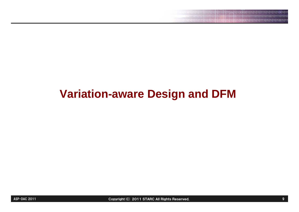## **Variation-aware Design and DFM**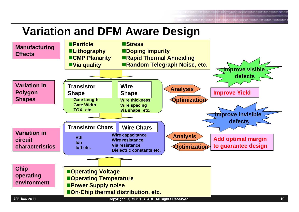#### **Variation and DFM Aware Design**

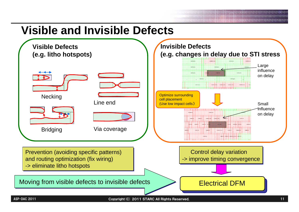#### **Visible and Invisible Defects**

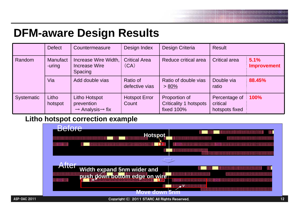#### **DFM-aware Design Results**

|                   | <b>Defect</b>             | Countermeasure                                                                 | Design Index                  | Design Criteria                                              | <b>Result</b>                                      |                     |
|-------------------|---------------------------|--------------------------------------------------------------------------------|-------------------------------|--------------------------------------------------------------|----------------------------------------------------|---------------------|
| Random            | <b>Manufact</b><br>-uring | Increase Wire Width,<br><b>Increase Wire</b><br>Spacing                        | <b>Critical Area</b><br>(CA)  | Reduce critical area                                         | <b>Critical area</b>                               | 5.1%<br>Improvement |
|                   | Via                       | Add double vias                                                                | Ratio of<br>defective vias    | Ratio of double vias<br>$> 80\%$                             | Double via<br>ratio                                | 88.45%              |
| <b>Systematic</b> | Litho<br>hotspot          | <b>Litho Hotspot</b><br>prevention<br>$\rightarrow$ Analysis $\rightarrow$ fix | <b>Hotspot Error</b><br>Count | Proportion of<br><b>Criticality 1 hotspots</b><br>fixed 100% | Percentage of 100%<br>critical<br>hotspots fixed : |                     |

#### **Litho hotspot correction example**

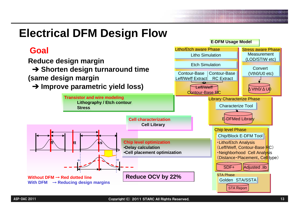### **Electrical DFM Design Flow**

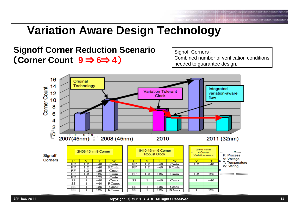# **Variation Aware Design Technology**

#### **Signoff Corner Reduction Scenario** (**Corner Count 9** ⇒ **6**⇒ **4**)

Signoff Corners: Combined number of verification conditions needed to guarantee design.

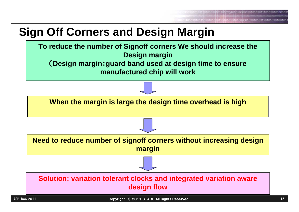## **Sign Off Corners and Design Margin**

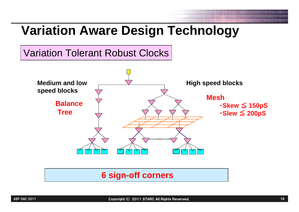# **Variation Aware Design Technology**

#### Variation Tolerant Robust Clocks



#### **6 sign-off corners**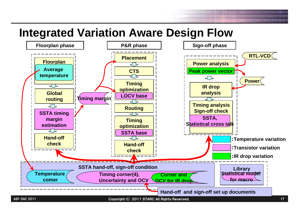01101016101010000010101010111010101 

#### **Integrated Variation Aware Design Flow**

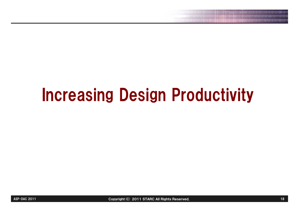# Increasing Design Productivity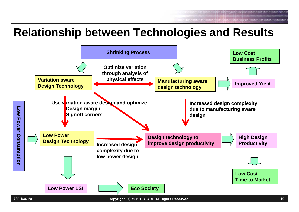#### **Relationship between Technologies and Results**

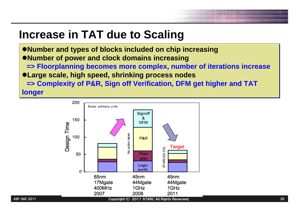#### **Increase in TAT due to Scaling**

<sup>z</sup>**Number and types of blocks included on chip increasing** <sup>z</sup>**Number and types of blocks included on chip increasing** <sup>z</sup>**Number of power and clock domains increasing** <sup>z</sup>**Number of power and clock domains increasing => Floorplanning becomes more complex, number of iterations increase => Floorplanning becomes more complex, number of iterations increase** <sup>z</sup>**Large scale, high speed, shrinking process nodes** <sup>z</sup>**Large scale, high speed, shrinking process nodes => Complexity of P&R, Sign off Verification, DFM get higher and TAT => Complexity of P&R, Sign off Verification, DFM get higher and TAT longer longer**

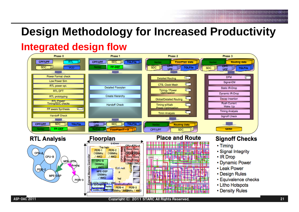## **Design Methodology for Increased Productivity**

#### **Integrated design flow**

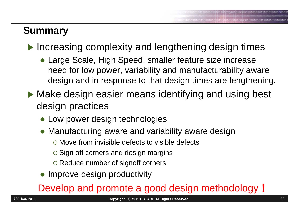#### **Summary**

 $\blacktriangleright$  Increasing complexity and lengthening design times

- Large Scale, High Speed, smaller feature size increase need for low power, variability and manufacturability aware design and in response to that design times are lengthening.
- $\blacktriangleright$  Make design easier means identifying and using best design practices
	- Low power design technologies
	- $\bullet$  Manufacturing aware and variability aware design
		- $\circ$  Move from invisible defects to visible defects
		- O Sign off corners and design margins
		- **O Reduce number of signoff corners**
	- Improve design productivity

#### Develop and promote a good design methodology!